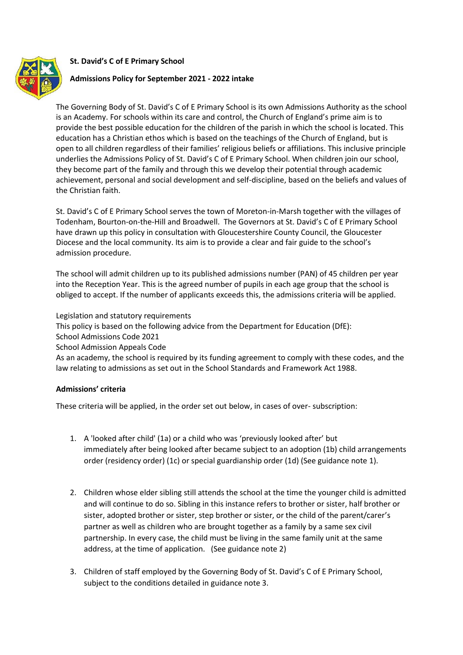**St. David's C of E Primary School**



## **Admissions Policy for September 2021 - 2022 intake**

The Governing Body of St. David's C of E Primary School is its own Admissions Authority as the school is an Academy. For schools within its care and control, the Church of England's prime aim is to provide the best possible education for the children of the parish in which the school is located. This education has a Christian ethos which is based on the teachings of the Church of England, but is open to all children regardless of their families' religious beliefs or affiliations. This inclusive principle underlies the Admissions Policy of St. David's C of E Primary School. When children join our school, they become part of the family and through this we develop their potential through academic achievement, personal and social development and self-discipline, based on the beliefs and values of the Christian faith.

St. David's C of E Primary School serves the town of Moreton-in-Marsh together with the villages of Todenham, Bourton-on-the-Hill and Broadwell. The Governors at St. David's C of E Primary School have drawn up this policy in consultation with Gloucestershire County Council, the Gloucester Diocese and the local community. Its aim is to provide a clear and fair guide to the school's admission procedure.

The school will admit children up to its published admissions number (PAN) of 45 children per year into the Reception Year. This is the agreed number of pupils in each age group that the school is obliged to accept. If the number of applicants exceeds this, the admissions criteria will be applied.

Legislation and statutory requirements This policy is based on the following advice from the Department for Education (DfE): School Admissions Code 2021 School Admission Appeals Code As an academy, the school is required by its funding agreement to comply with these codes, and the law relating to admissions as set out in the School Standards and Framework Act 1988.

### **Admissions' criteria**

These criteria will be applied, in the order set out below, in cases of over- subscription:

- 1. A 'looked after child' (1a) or a child who was 'previously looked after' but immediately after being looked after became subject to an adoption (1b) child arrangements order (residency order) (1c) or special guardianship order (1d) (See guidance note 1).
- 2. Children whose elder sibling still attends the school at the time the younger child is admitted and will continue to do so. Sibling in this instance refers to brother or sister, half brother or sister, adopted brother or sister, step brother or sister, or the child of the parent/carer's partner as well as children who are brought together as a family by a same sex civil partnership. In every case, the child must be living in the same family unit at the same address, at the time of application. (See guidance note 2)
- 3. Children of staff employed by the Governing Body of St. David's C of E Primary School, subject to the conditions detailed in guidance note 3.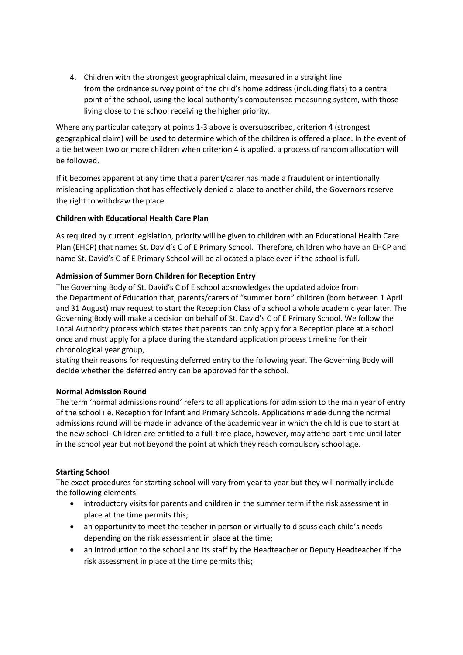4. Children with the strongest geographical claim, measured in a straight line from the ordnance survey point of the child's home address (including flats) to a central point of the school, using the local authority's computerised measuring system, with those living close to the school receiving the higher priority.

Where any particular category at points 1-3 above is oversubscribed, criterion 4 (strongest geographical claim) will be used to determine which of the children is offered a place. In the event of a tie between two or more children when criterion 4 is applied, a process of random allocation will be followed.

If it becomes apparent at any time that a parent/carer has made a fraudulent or intentionally misleading application that has effectively denied a place to another child, the Governors reserve the right to withdraw the place.

## **Children with Educational Health Care Plan**

As required by current legislation, priority will be given to children with an Educational Health Care Plan (EHCP) that names St. David's C of E Primary School. Therefore, children who have an EHCP and name St. David's C of E Primary School will be allocated a place even if the school is full.

# **Admission of Summer Born Children for Reception Entry**

The Governing Body of St. David's C of E school acknowledges the updated advice from the Department of Education that, parents/carers of "summer born" children (born between 1 April and 31 August) may request to start the Reception Class of a school a whole academic year later. The Governing Body will make a decision on behalf of St. David's C of E Primary School. We follow the Local Authority process which states that parents can only apply for a Reception place at a school once and must apply for a place during the standard application process timeline for their chronological year group,

stating their reasons for requesting deferred entry to the following year. The Governing Body will decide whether the deferred entry can be approved for the school.

## **Normal Admission Round**

The term 'normal admissions round' refers to all applications for admission to the main year of entry of the school i.e. Reception for Infant and Primary Schools. Applications made during the normal admissions round will be made in advance of the academic year in which the child is due to start at the new school. Children are entitled to a full-time place, however, may attend part-time until later in the school year but not beyond the point at which they reach compulsory school age.

## **Starting School**

The exact procedures for starting school will vary from year to year but they will normally include the following elements:

- introductory visits for parents and children in the summer term if the risk assessment in place at the time permits this;
- an opportunity to meet the teacher in person or virtually to discuss each child's needs depending on the risk assessment in place at the time;
- an introduction to the school and its staff by the Headteacher or Deputy Headteacher if the risk assessment in place at the time permits this;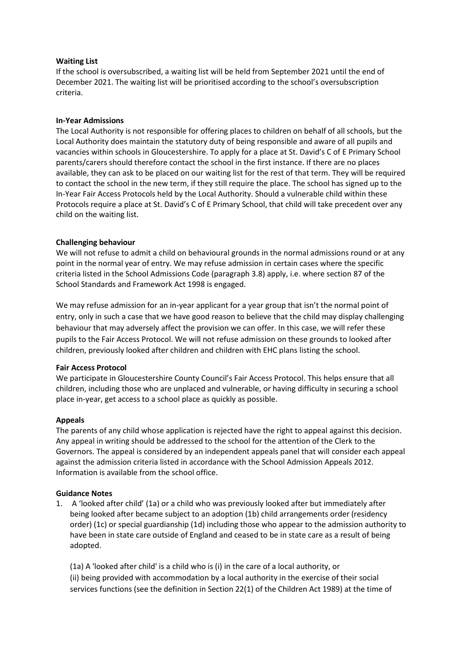### **Waiting List**

If the school is oversubscribed, a waiting list will be held from September 2021 until the end of December 2021. The waiting list will be prioritised according to the school's oversubscription criteria.

### **In-Year Admissions**

The Local Authority is not responsible for offering places to children on behalf of all schools, but the Local Authority does maintain the statutory duty of being responsible and aware of all pupils and vacancies within schools in Gloucestershire. To apply for a place at St. David's C of E Primary School parents/carers should therefore contact the school in the first instance. If there are no places available, they can ask to be placed on our waiting list for the rest of that term. They will be required to contact the school in the new term, if they still require the place. The school has signed up to the In-Year Fair Access Protocols held by the Local Authority. Should a vulnerable child within these Protocols require a place at St. David's C of E Primary School, that child will take precedent over any child on the waiting list.

### **Challenging behaviour**

We will not refuse to admit a child on behavioural grounds in the normal admissions round or at any point in the normal year of entry. We may refuse admission in certain cases where the specific criteria listed in the School Admissions Code (paragraph 3.8) apply, i.e. where section 87 of the School Standards and Framework Act 1998 is engaged.

We may refuse admission for an in-year applicant for a year group that isn't the normal point of entry, only in such a case that we have good reason to believe that the child may display challenging behaviour that may adversely affect the provision we can offer. In this case, we will refer these pupils to the Fair Access Protocol. We will not refuse admission on these grounds to looked after children, previously looked after children and children with EHC plans listing the school.

### **Fair Access Protocol**

We participate in Gloucestershire County Council's Fair Access Protocol. This helps ensure that all children, including those who are unplaced and vulnerable, or having difficulty in securing a school place in-year, get access to a school place as quickly as possible.

### **Appeals**

The parents of any child whose application is rejected have the right to appeal against this decision. Any appeal in writing should be addressed to the school for the attention of the Clerk to the Governors. The appeal is considered by an independent appeals panel that will consider each appeal against the admission criteria listed in accordance with the School Admission Appeals 2012. Information is available from the school office.

### **Guidance Notes**

1. A 'looked after child' (1a) or a child who was previously looked after but immediately after being looked after became subject to an adoption (1b) child arrangements order (residency order) (1c) or special guardianship (1d) including those who appear to the admission authority to have been in state care outside of England and ceased to be in state care as a result of being adopted.

(1a) A 'looked after child' is a child who is (i) in the care of a local authority, or (ii) being provided with accommodation by a local authority in the exercise of their social services functions (see the definition in Section 22(1) of the Children Act 1989) at the time of